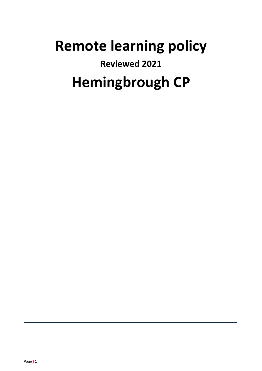# **Remote learning policy Reviewed 2021 Hemingbrough CP**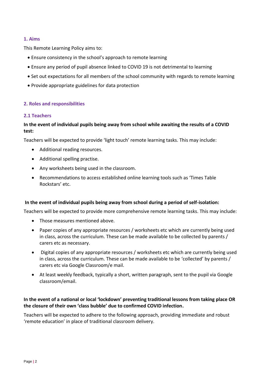## **1. Aims**

This Remote Learning Policy aims to:

- Ensure consistency in the school's approach to remote learning
- Ensure any period of pupil absence linked to COVID 19 is not detrimental to learning
- Set out expectations for all members of the school community with regards to remote learning
- Provide appropriate guidelines for data protection

## **2. Roles and responsibilities**

### **2.1 Teachers**

## **In the event of individual pupils being away from school while awaiting the results of a COVID test:**

Teachers will be expected to provide 'light touch' remote learning tasks. This may include:

- Additional reading resources.
- Additional spelling practise.
- Any worksheets being used in the classroom.
- Recommendations to access established online learning tools such as 'Times Table Rockstars' etc.

### **In the event of individual pupils being away from school during a period of self-isolation:**

Teachers will be expected to provide more comprehensive remote learning tasks. This may include:

- Those measures mentioned above.
- Paper copies of any appropriate resources / worksheets etc which are currently being used in class, across the curriculum. These can be made available to be collected by parents / carers etc as necessary.
- Digital copies of any appropriate resources / worksheets etc which are currently being used in class, across the curriculum. These can be made available to be 'collected' by parents / carers etc via Google Classroom/e mail.
- At least weekly feedback, typically a short, written paragraph, sent to the pupil via Google classroom/email.

## **In the event of a national or local 'lockdown' preventing traditional lessons from taking place OR the closure of their own 'class bubble' due to confirmed COVID infection.**

Teachers will be expected to adhere to the following approach, providing immediate and robust 'remote education' in place of traditional classroom delivery.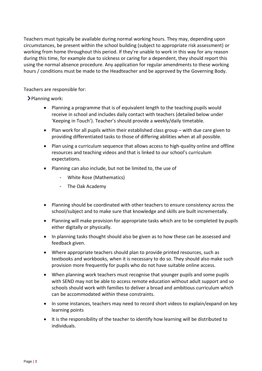Teachers must typically be available during normal working hours. They may, depending upon circumstances, be present within the school building (subject to appropriate risk assessment) or working from home throughout this period. If they're unable to work in this way for any reason during this time, for example due to sickness or caring for a dependent, they should report this using the normal absence procedure. Any application for regular amendments to these working hours / conditions must be made to the Headteacher and be approved by the Governing Body.

Teachers are responsible for:

> Planning work:

- Planning a programme that is of equivalent length to the teaching pupils would receive in school and includes daily contact with teachers (detailed below under 'Keeping in Touch'). Teacher's should provide a weekly/daily timetable.
- Plan work for all pupils within their established class group with due care given to providing differentiated tasks to those of differing abilities when at all possible.
- Plan using a curriculum sequence that allows access to high-quality online and offline resources and teaching videos and that is linked to our school's curriculum expectations.
- Planning can also include, but not be limited to, the use of
	- White Rose (Mathematics)
	- The Oak Academy
- Planning should be coordinated with other teachers to ensure consistency across the school/subject and to make sure that knowledge and skills are built incrementally.
- Planning will make provision for appropriate tasks which are to be completed by pupils either digitally or physically.
- In planning tasks thought should also be given as to how these can be assessed and feedback given.
- Where appropriate teachers should plan to provide printed resources, such as textbooks and workbooks, when it is necessary to do so. They should also make such provision more frequently for pupils who do not have suitable online access.
- When planning work teachers must recognise that younger pupils and some pupils with SEND may not be able to access remote education without adult support and so schools should work with families to deliver a broad and ambitious curriculum which can be accommodated within these constraints.
- In some instances, teachers may need to record short videos to explain/expand on key learning points
- It is the responsibility of the teacher to identify how learning will be distributed to individuals.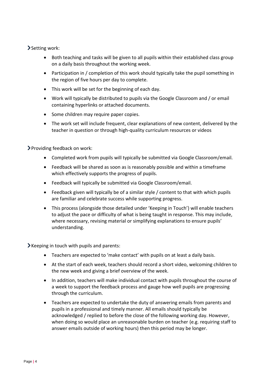# Setting work:

- Both teaching and tasks will be given to all pupils within their established class group on a daily basis throughout the working week.
- Participation in / completion of this work should typically take the pupil something in the region of five hours per day to complete.
- This work will be set for the beginning of each day.
- Work will typically be distributed to pupils via the Google Classroom and / or email containing hyperlinks or attached documents.
- Some children may require paper copies.
- The work set will include frequent, clear explanations of new content, delivered by the teacher in question or through high-quality curriculum resources or videos

Providing feedback on work:

- Completed work from pupils will typically be submitted via Google Classroom/email.
- Feedback will be shared as soon as is reasonably possible and within a timeframe which effectively supports the progress of pupils.
- Feedback will typically be submitted via Google Classroom/email.
- Feedback given will typically be of a similar style / content to that with which pupils are familiar and celebrate success while supporting progress.
- This process (alongside those detailed under 'Keeping in Touch') will enable teachers to adjust the pace or difficulty of what is being taught in response. This may include, where necessary, revising material or simplifying explanations to ensure pupils' understanding.

 $\blacktriangleright$  Keeping in touch with pupils and parents:

- Teachers are expected to 'make contact' with pupils on at least a daily basis.
- At the start of each week, teachers should record a short video, welcoming children to the new week and giving a brief overview of the week.
- In addition, teachers will make individual contact with pupils throughout the course of a week to support the feedback process and gauge how well pupils are progressing through the curriculum.
- Teachers are expected to undertake the duty of answering emails from parents and pupils in a professional and timely manner. All emails should typically be acknowledged / replied to before the close of the following working day. However, when doing so would place an unreasonable burden on teacher (e.g. requiring staff to answer emails outside of working hours) then this period may be longer.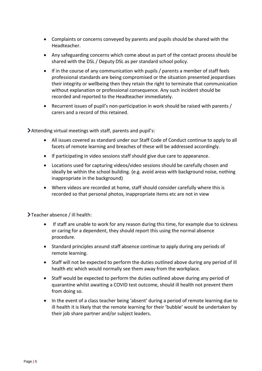- Complaints or concerns conveyed by parents and pupils should be shared with the Headteacher.
- Any safeguarding concerns which come about as part of the contact process should be shared with the DSL / Deputy DSL as per standard school policy.
- If in the course of any communication with pupils / parents a member of staff feels professional standards are being compromised or the situation presented jeopardises their integrity or wellbeing then they retain the right to terminate that communication without explanation or professional consequence. Any such incident should be recorded and reported to the Headteacher immediately.
- Recurrent issues of pupil's non-participation in work should be raised with parents / carers and a record of this retained.

Attending virtual meetings with staff, parents and pupil's:

- All issues covered as standard under our Staff Code of Conduct continue to apply to all facets of remote learning and breaches of these will be addressed accordingly.
- If participating in video sessions staff should give due care to appearance.
- Locations used for capturing videos/video sessions should be carefully chosen and ideally be within the school building. (e.g. avoid areas with background noise, nothing inappropriate in the background)
- Where videos are recorded at home, staff should consider carefully where this is recorded so that personal photos, inappropriate items etc are not in view

Teacher absence / ill health:

- If staff are unable to work for any reason during this time, for example due to sickness or caring for a dependent, they should report this using the normal absence procedure.
- Standard principles around staff absence continue to apply during any periods of remote learning.
- Staff will not be expected to perform the duties outlined above during any period of ill health etc which would normally see them away from the workplace.
- Staff would be expected to perform the duties outlined above during any period of quarantine whilst awaiting a COVID test outcome, should ill health not prevent them from doing so.
- In the event of a class teacher being 'absent' during a period of remote learning due to ill health it is likely that the remote learning for their 'bubble' would be undertaken by their job share partner and/or subject leaders.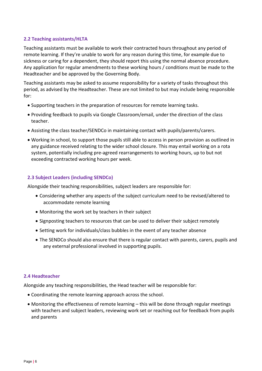## **2.2 Teaching assistants/HLTA**

Teaching assistants must be available to work their contracted hours throughout any period of remote learning. If they're unable to work for any reason during this time, for example due to sickness or caring for a dependent, they should report this using the normal absence procedure. Any application for regular amendments to these working hours / conditions must be made to the Headteacher and be approved by the Governing Body.

Teaching assistants may be asked to assume responsibility for a variety of tasks throughout this period, as advised by the Headteacher. These are not limited to but may include being responsible for:

- Supporting teachers in the preparation of resources for remote learning tasks.
- Providing feedback to pupils via Google Classroom/email, under the direction of the class teacher.
- Assisting the class teacher/SENDCo in maintaining contact with pupils/parents/carers.
- Working in school, to support those pupils still able to access in person provision as outlined in any guidance received relating to the wider school closure. This may entail working on a rota system, potentially including pre-agreed rearrangements to working hours, up to but not exceeding contracted working hours per week.

## **2.3 Subject Leaders (including SENDCo)**

Alongside their teaching responsibilities, subject leaders are responsible for:

- Considering whether any aspects of the subject curriculum need to be revised/altered to accommodate remote learning
- Monitoring the work set by teachers in their subject
- Signposting teachers to resources that can be used to deliver their subject remotely
- Setting work for individuals/class bubbles in the event of any teacher absence
- The SENDCo should also ensure that there is regular contact with parents, carers, pupils and any external professional involved in supporting pupils.

### **2.4 Headteacher**

Alongside any teaching responsibilities, the Head teacher will be responsible for:

- Coordinating the remote learning approach across the school.
- Monitoring the effectiveness of remote learning this will be done through regular meetings with teachers and subject leaders, reviewing work set or reaching out for feedback from pupils and parents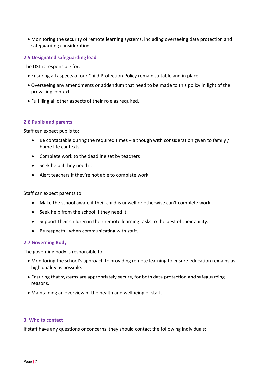• Monitoring the security of remote learning systems, including overseeing data protection and safeguarding considerations

## **2.5 Designated safeguarding lead**

The DSL is responsible for:

- Ensuring all aspects of our Child Protection Policy remain suitable and in place.
- Overseeing any amendments or addendum that need to be made to this policy in light of the prevailing context.
- Fulfilling all other aspects of their role as required.

## **2.6 Pupils and parents**

Staff can expect pupils to:

- Be contactable during the required times although with consideration given to family / home life contexts.
- Complete work to the deadline set by teachers
- Seek help if they need it.
- Alert teachers if they're not able to complete work

Staff can expect parents to:

- Make the school aware if their child is unwell or otherwise can't complete work
- Seek help from the school if they need it.
- Support their children in their remote learning tasks to the best of their ability.
- Be respectful when communicating with staff.

### **2.7 Governing Body**

The governing body is responsible for:

- Monitoring the school's approach to providing remote learning to ensure education remains as high quality as possible.
- Ensuring that systems are appropriately secure, for both data protection and safeguarding reasons.
- Maintaining an overview of the health and wellbeing of staff.

### **3. Who to contact**

If staff have any questions or concerns, they should contact the following individuals: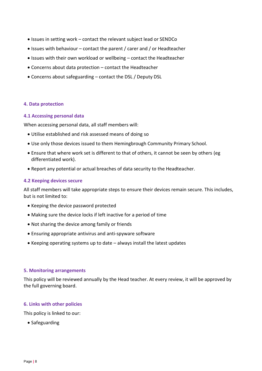- Issues in setting work contact the relevant subject lead or SENDCo
- Issues with behaviour contact the parent / carer and / or Headteacher
- Issues with their own workload or wellbeing contact the Headteacher
- Concerns about data protection contact the Headteacher
- Concerns about safeguarding contact the DSL / Deputy DSL

### **4. Data protection**

#### **4.1 Accessing personal data**

When accessing personal data, all staff members will:

- Utilise established and risk assessed means of doing so
- Use only those devices issued to them Hemingbrough Community Primary School.
- Ensure that where work set is different to that of others, it cannot be seen by others (eg differentiated work).
- Report any potential or actual breaches of data security to the Headteacher.

#### **4.2 Keeping devices secure**

All staff members will take appropriate steps to ensure their devices remain secure. This includes, but is not limited to:

- Keeping the device password protected
- Making sure the device locks if left inactive for a period of time
- Not sharing the device among family or friends
- Ensuring appropriate antivirus and anti-spyware software
- Keeping operating systems up to date always install the latest updates

#### **5. Monitoring arrangements**

This policy will be reviewed annually by the Head teacher. At every review, it will be approved by the full governing board.

#### **6. Links with other policies**

This policy is linked to our:

• Safeguarding